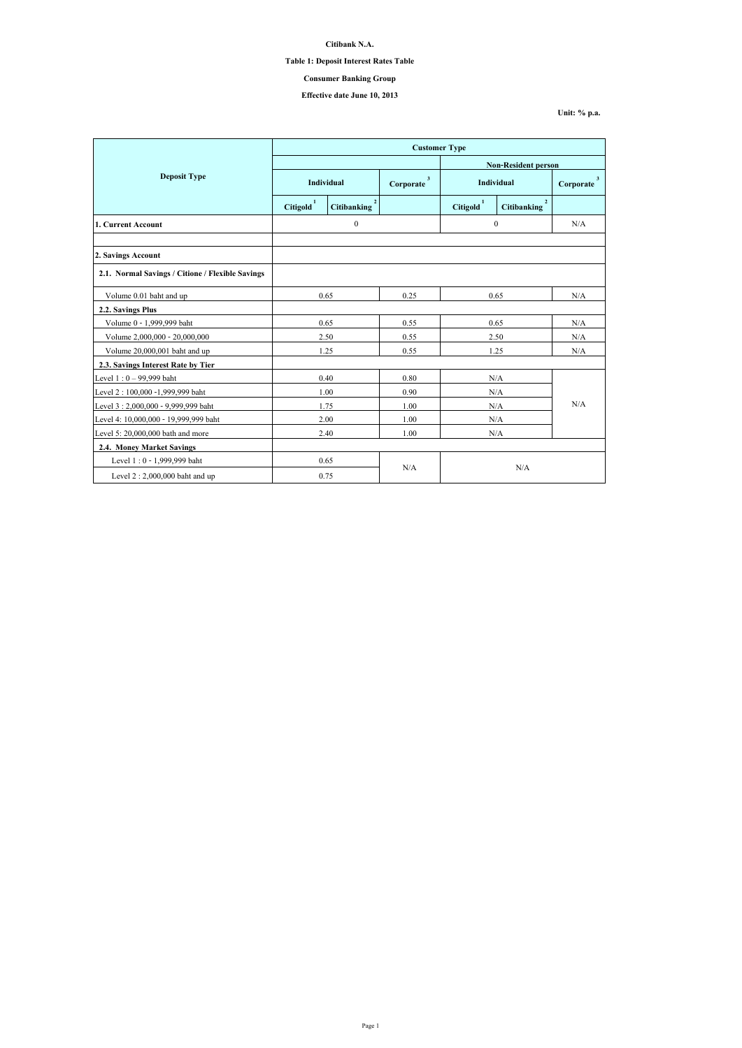|                                                  | <b>Customer Type</b>  |                    |                           |                            |                                      |                |  |
|--------------------------------------------------|-----------------------|--------------------|---------------------------|----------------------------|--------------------------------------|----------------|--|
|                                                  |                       |                    |                           | <b>Non-Resident person</b> |                                      |                |  |
| <b>Deposit Type</b>                              | Individual            |                    | $\mathbf{3}$<br>Corporate | <b>Individual</b>          |                                      | 3<br>Corporate |  |
|                                                  | Citigold <sup>1</sup> | <b>Citibanking</b> |                           | Citigold <sup>1</sup>      | $\overline{2}$<br><b>Citibanking</b> |                |  |
| 1. Current Account                               |                       | $\boldsymbol{0}$   |                           | $\mathbf{0}$               |                                      | N/A            |  |
|                                                  |                       |                    |                           |                            |                                      |                |  |
| 2. Savings Account                               |                       |                    |                           |                            |                                      |                |  |
| 2.1. Normal Savings / Citione / Flexible Savings |                       |                    |                           |                            |                                      |                |  |
| Volume 0.01 baht and up                          | 0.65                  |                    | 0.25                      | 0.65                       |                                      | N/A            |  |
| 2.2. Savings Plus                                |                       |                    |                           |                            |                                      |                |  |
| Volume 0 - 1,999,999 baht                        | 0.65                  |                    | 0.55                      | 0.65                       |                                      | N/A            |  |
| Volume 2,000,000 - 20,000,000                    |                       | 2.50               | 0.55                      | 2.50                       |                                      | N/A            |  |
| Volume 20,000,001 baht and up                    |                       | 1.25               | 0.55                      | 1.25                       |                                      | N/A            |  |
| 2.3. Savings Interest Rate by Tier               |                       |                    |                           |                            |                                      |                |  |
| Level $1:0 - 99,999$ baht                        |                       | 0.40               | 0.80                      | N/A                        |                                      |                |  |
| Level 2 : 100,000 -1,999,999 baht                |                       | 1.00               | 0.90                      | N/A                        |                                      |                |  |
| Level 3:2,000,000 - 9,999,999 baht               |                       | 1.75               | 1.00                      | N/A                        |                                      | N/A            |  |
| Level 4: 10,000,000 - 19,999,999 baht            |                       | 2.00               | 1.00                      | N/A                        |                                      |                |  |
| Level 5: $20,000,000$ bath and more              | 2.40                  |                    | 1.00                      | $\rm N/A$                  |                                      |                |  |
| <b>2.4. Money Market Savings</b>                 |                       |                    |                           |                            |                                      |                |  |
| Level 1:0 - 1,999,999 baht                       |                       | 0.65               |                           |                            |                                      |                |  |
| Level $2:2,000,000$ baht and up                  |                       | 0.75               | N/A<br>N/A                |                            |                                      |                |  |

**Citibank N.A.**

## **Table 1: Deposit Interest Rates Table**

# **Effective date June 10, 2013**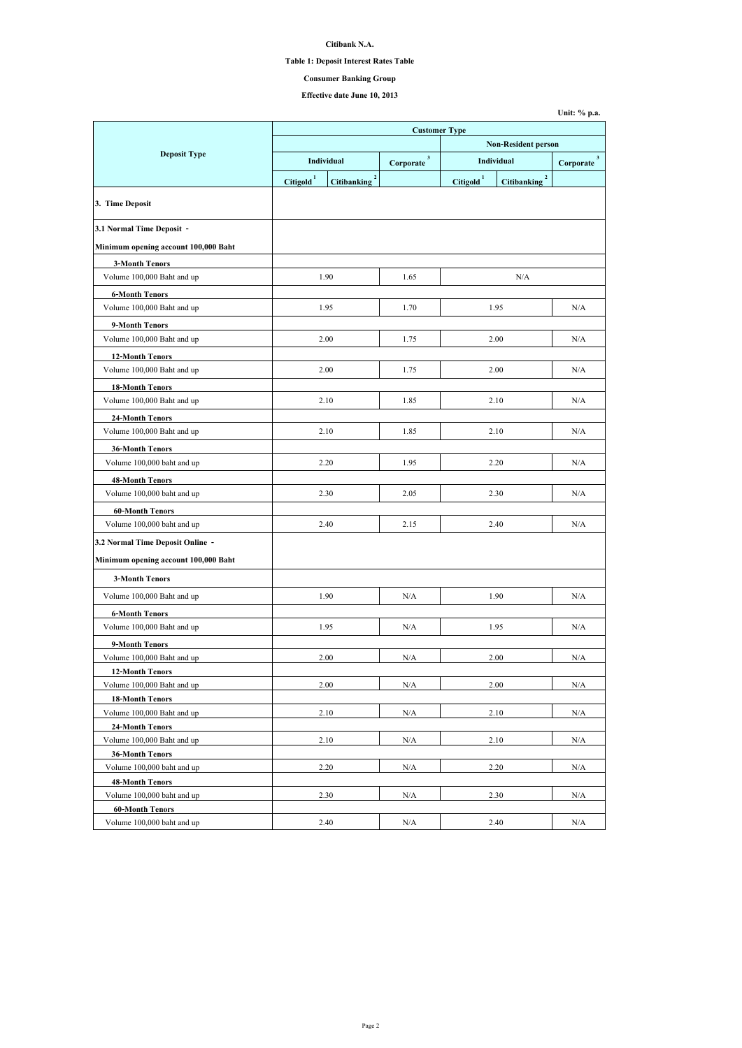**Citibank N.A.**

# **Table 1: Deposit Interest Rates Table**

# **Effective date June 10, 2013**

|                                                      | <b>Customer Type</b>       |                                      |           |                 |                                    |                           |  |
|------------------------------------------------------|----------------------------|--------------------------------------|-----------|-----------------|------------------------------------|---------------------------|--|
|                                                      | <b>Non-Resident person</b> |                                      |           |                 |                                    |                           |  |
| <b>Deposit Type</b>                                  |                            | <b>Individual</b>                    |           |                 | <b>Individual</b>                  | $\mathbf{3}$<br>Corporate |  |
|                                                      | <b>Citigold</b>            | $\overline{2}$<br><b>Citibanking</b> | Corporate | <b>Citigold</b> | $\mathbf{2}$<br><b>Citibanking</b> |                           |  |
|                                                      |                            |                                      |           |                 |                                    |                           |  |
| 3. Time Deposit                                      |                            |                                      |           |                 |                                    |                           |  |
| 3.1 Normal Time Deposit -                            |                            |                                      |           |                 |                                    |                           |  |
|                                                      |                            |                                      |           |                 |                                    |                           |  |
| Minimum opening account 100,000 Baht                 |                            |                                      |           |                 |                                    |                           |  |
| <b>3-Month Tenors</b><br>Volume 100,000 Baht and up  |                            | 1.90                                 | 1.65      |                 | N/A                                |                           |  |
|                                                      |                            |                                      |           |                 |                                    |                           |  |
| <b>6-Month Tenors</b><br>Volume 100,000 Baht and up  |                            | 1.95                                 | 1.70      |                 | 1.95                               | N/A                       |  |
|                                                      |                            |                                      |           |                 |                                    |                           |  |
| 9-Month Tenors<br>Volume 100,000 Baht and up         |                            | 2.00                                 | 1.75      |                 | 2.00                               | N/A                       |  |
|                                                      |                            |                                      |           |                 |                                    |                           |  |
| <b>12-Month Tenors</b>                               |                            |                                      |           |                 | 2.00                               | N/A                       |  |
| Volume 100,000 Baht and up                           |                            | 2.00                                 | 1.75      |                 |                                    |                           |  |
| <b>18-Month Tenors</b>                               |                            |                                      |           |                 |                                    |                           |  |
| Volume 100,000 Baht and up                           |                            | 2.10                                 | 1.85      |                 | 2.10                               | N/A                       |  |
| <b>24-Month Tenors</b>                               |                            |                                      |           |                 |                                    |                           |  |
| Volume 100,000 Baht and up                           |                            | 2.10                                 | 1.85      |                 | 2.10                               | N/A                       |  |
| <b>36-Month Tenors</b>                               |                            |                                      |           |                 |                                    |                           |  |
| Volume 100,000 baht and up                           |                            | 2.20                                 | 1.95      |                 | 2.20                               | N/A                       |  |
| <b>48-Month Tenors</b>                               |                            |                                      |           |                 |                                    |                           |  |
| Volume 100,000 baht and up                           |                            | 2.30                                 | 2.05      |                 | 2.30                               | N/A                       |  |
| <b>60-Month Tenors</b>                               |                            |                                      |           |                 |                                    |                           |  |
| Volume 100,000 baht and up                           |                            | 2.40                                 | 2.15      |                 | 2.40                               | N/A                       |  |
| 3.2 Normal Time Deposit Online -                     |                            |                                      |           |                 |                                    |                           |  |
| Minimum opening account 100,000 Baht                 |                            |                                      |           |                 |                                    |                           |  |
| <b>3-Month Tenors</b>                                |                            |                                      |           |                 |                                    |                           |  |
| Volume 100,000 Baht and up                           |                            | 1.90                                 | N/A       |                 | 1.90                               | N/A                       |  |
|                                                      |                            |                                      |           |                 |                                    |                           |  |
| <b>6-Month Tenors</b><br>Volume 100,000 Baht and up  |                            | 1.95                                 | N/A       |                 | 1.95                               | N/A                       |  |
|                                                      |                            |                                      |           |                 |                                    |                           |  |
| 9-Month Tenors                                       |                            | 2.00                                 | N/A       |                 | 2.00                               | N/A                       |  |
| Volume 100,000 Baht and up<br><b>12-Month Tenors</b> |                            |                                      |           |                 |                                    |                           |  |
| Volume 100,000 Baht and up                           |                            | 2.00                                 | N/A       |                 | 2.00                               | N/A                       |  |
| <b>18-Month Tenors</b>                               |                            |                                      |           |                 |                                    |                           |  |
| Volume 100,000 Baht and up                           |                            | 2.10                                 | N/A       |                 | 2.10                               | N/A                       |  |
| <b>24-Month Tenors</b>                               |                            |                                      |           |                 |                                    |                           |  |
| Volume 100,000 Baht and up                           |                            | 2.10                                 | N/A       | 2.10            |                                    | N/A                       |  |
| <b>36-Month Tenors</b>                               |                            |                                      |           |                 |                                    |                           |  |
| Volume 100,000 baht and up                           |                            | 2.20                                 | N/A       |                 | 2.20                               | N/A                       |  |
| <b>48-Month Tenors</b>                               |                            |                                      |           |                 |                                    |                           |  |
| Volume 100,000 baht and up                           |                            | 2.30                                 | N/A       |                 | 2.30                               | N/A                       |  |
| <b>60-Month Tenors</b>                               |                            |                                      |           |                 |                                    |                           |  |
| Volume 100,000 baht and up                           |                            | 2.40                                 | N/A       |                 | 2.40                               | N/A                       |  |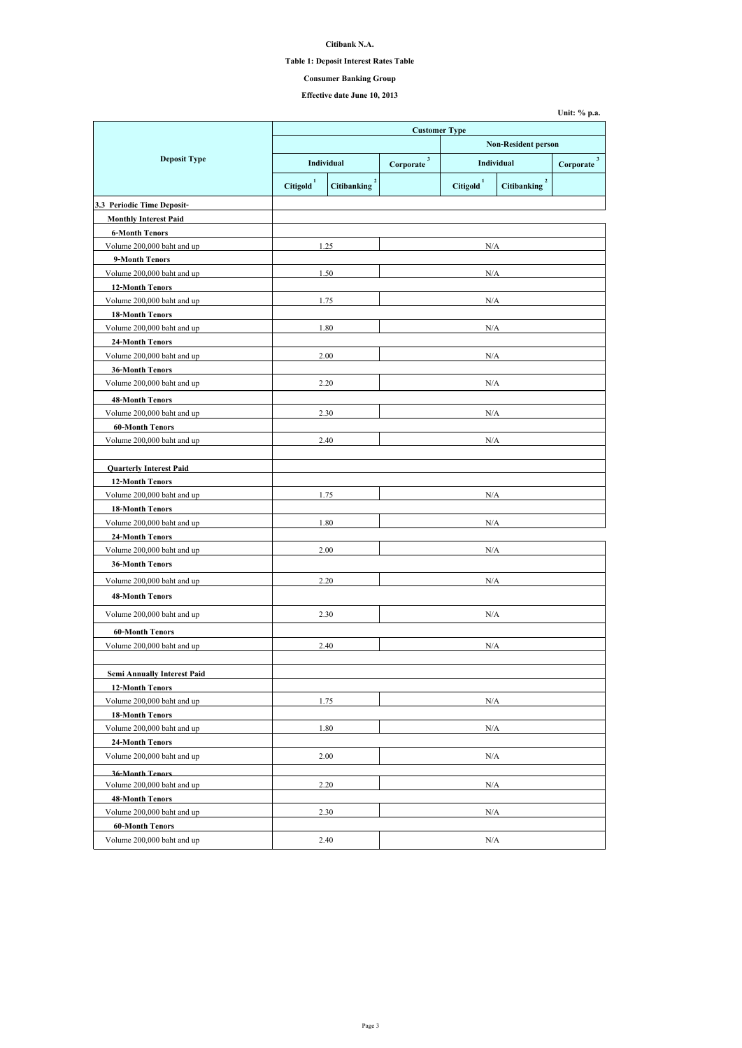**Citibank N.A.**

## **Table 1: Deposit Interest Rates Table**

# **Effective date June 10, 2013**

|                                    | <b>Customer Type</b>                                    |      |                            |                       |                                      |                          |
|------------------------------------|---------------------------------------------------------|------|----------------------------|-----------------------|--------------------------------------|--------------------------|
|                                    |                                                         |      | <b>Non-Resident person</b> |                       |                                      |                          |
| <b>Deposit Type</b>                | Individual                                              |      | $\mathbf{3}$<br>Corporate  |                       | <b>Individual</b>                    | $3^{\circ}$<br>Corporate |
|                                    | $\overline{2}$<br><b>Citigold</b><br><b>Citibanking</b> |      |                            | Citigold <sup>1</sup> | $\overline{2}$<br><b>Citibanking</b> |                          |
| 3.3 Periodic Time Deposit-         |                                                         |      |                            |                       |                                      |                          |
| <b>Monthly Interest Paid</b>       |                                                         |      |                            |                       |                                      |                          |
| <b>6-Month Tenors</b>              |                                                         |      |                            |                       |                                      |                          |
| Volume 200,000 baht and up         |                                                         | 1.25 |                            | N/A                   |                                      |                          |
| 9-Month Tenors                     |                                                         |      |                            |                       |                                      |                          |
| Volume 200,000 baht and up         |                                                         | 1.50 |                            | N/A                   |                                      |                          |
| <b>12-Month Tenors</b>             |                                                         |      |                            |                       |                                      |                          |
| Volume 200,000 baht and up         |                                                         | 1.75 |                            | N/A                   |                                      |                          |
| <b>18-Month Tenors</b>             |                                                         |      |                            |                       |                                      |                          |
| Volume 200,000 baht and up         |                                                         | 1.80 |                            | N/A                   |                                      |                          |
| <b>24-Month Tenors</b>             |                                                         |      |                            |                       |                                      |                          |
| Volume 200,000 baht and up         |                                                         | 2.00 |                            | N/A                   |                                      |                          |
| <b>36-Month Tenors</b>             |                                                         |      |                            |                       |                                      |                          |
| Volume 200,000 baht and up         |                                                         | 2.20 |                            | N/A                   |                                      |                          |
| <b>48-Month Tenors</b>             |                                                         |      |                            |                       |                                      |                          |
| Volume 200,000 baht and up         |                                                         | 2.30 |                            | N/A                   |                                      |                          |
| <b>60-Month Tenors</b>             |                                                         |      |                            |                       |                                      |                          |
| Volume 200,000 baht and up         |                                                         | 2.40 | N/A                        |                       |                                      |                          |
|                                    |                                                         |      |                            |                       |                                      |                          |
| <b>Quarterly Interest Paid</b>     |                                                         |      |                            |                       |                                      |                          |
| <b>12-Month Tenors</b>             |                                                         |      |                            |                       |                                      |                          |
| Volume 200,000 baht and up         |                                                         | 1.75 |                            | N/A                   |                                      |                          |
| <b>18-Month Tenors</b>             |                                                         |      |                            |                       |                                      |                          |
| Volume 200,000 baht and up         |                                                         | 1.80 | $\rm N/A$                  |                       |                                      |                          |
| <b>24-Month Tenors</b>             |                                                         |      |                            |                       |                                      |                          |
| Volume 200,000 baht and up         |                                                         | 2.00 | $\rm N/A$                  |                       |                                      |                          |
| <b>36-Month Tenors</b>             |                                                         |      |                            |                       |                                      |                          |
| Volume 200,000 baht and up         |                                                         | 2.20 |                            | $\rm N/A$             |                                      |                          |
| <b>48-Month Tenors</b>             |                                                         |      |                            |                       |                                      |                          |
|                                    |                                                         |      |                            |                       |                                      |                          |
| Volume 200,000 baht and up         |                                                         | 2.30 |                            | $\rm N/A$             |                                      |                          |
| <b>60-Month Tenors</b>             |                                                         |      |                            |                       |                                      |                          |
| Volume 200,000 baht and up         |                                                         | 2.40 |                            | N/A                   |                                      |                          |
|                                    |                                                         |      |                            |                       |                                      |                          |
| <b>Semi Annually Interest Paid</b> |                                                         |      |                            |                       |                                      |                          |
| <b>12-Month Tenors</b>             |                                                         |      |                            |                       |                                      |                          |
| Volume 200,000 baht and up         |                                                         | 1.75 |                            | N/A                   |                                      |                          |
| <b>18-Month Tenors</b>             |                                                         |      |                            |                       |                                      |                          |
| Volume 200,000 baht and up         |                                                         | 1.80 | N/A                        |                       |                                      |                          |
| <b>24-Month Tenors</b>             |                                                         |      |                            |                       |                                      |                          |
| Volume 200,000 baht and up         |                                                         | 2.00 | N/A                        |                       |                                      |                          |
| <b>36-Month Tenors</b>             |                                                         |      |                            |                       |                                      |                          |
| Volume 200,000 baht and up         |                                                         | 2.20 |                            | N/A                   |                                      |                          |
| <b>48-Month Tenors</b>             |                                                         |      |                            |                       |                                      |                          |
| Volume 200,000 baht and up         |                                                         | 2.30 |                            | N/A                   |                                      |                          |
| <b>60-Month Tenors</b>             |                                                         |      |                            |                       |                                      |                          |
| Volume 200,000 baht and up         | 2.40                                                    |      | N/A                        |                       |                                      |                          |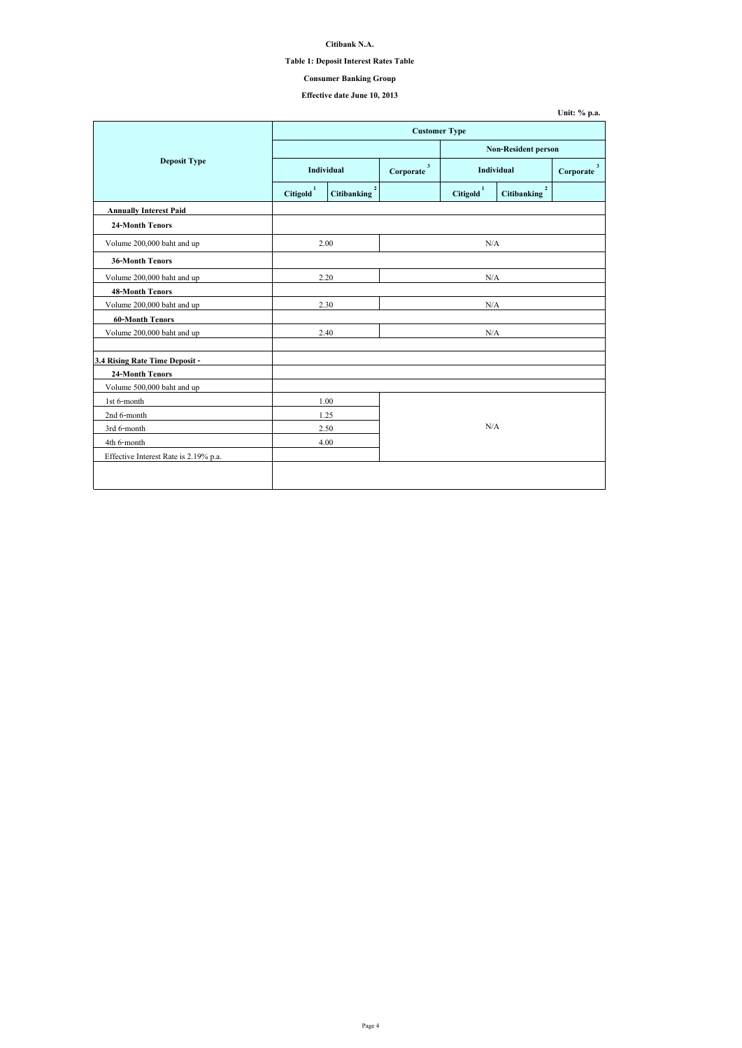| Unit: $\%$ p.a. |  |  |
|-----------------|--|--|
|-----------------|--|--|

## **Citibank N.A.**

## **Table 1: Deposit Interest Rates Table**

# **Effective date June 10, 2013**

|                                       | <b>Customer Type</b>  |                                    |     |                       |                                        |                           |  |
|---------------------------------------|-----------------------|------------------------------------|-----|-----------------------|----------------------------------------|---------------------------|--|
|                                       |                       |                                    |     |                       | <b>Non-Resident person</b>             |                           |  |
| <b>Deposit Type</b>                   |                       | Individual                         |     | <b>Individual</b>     |                                        | $\mathbf{3}$<br>Corporate |  |
|                                       | Citigold <sup>1</sup> | $\mathbf{2}$<br><b>Citibanking</b> |     | Citigold <sup>1</sup> | $\boldsymbol{2}$<br><b>Citibanking</b> |                           |  |
| <b>Annually Interest Paid</b>         |                       |                                    |     |                       |                                        |                           |  |
| <b>24-Month Tenors</b>                |                       |                                    |     |                       |                                        |                           |  |
| Volume 200,000 baht and up            |                       | 2.00                               |     | N/A                   |                                        |                           |  |
| <b>36-Month Tenors</b>                |                       |                                    |     |                       |                                        |                           |  |
| Volume 200,000 baht and up            |                       | 2.20                               |     | N/A                   |                                        |                           |  |
| <b>48-Month Tenors</b>                |                       |                                    |     |                       |                                        |                           |  |
| Volume 200,000 baht and up            |                       | 2.30                               | N/A |                       |                                        |                           |  |
| <b>60-Month Tenors</b>                |                       |                                    |     |                       |                                        |                           |  |
| Volume 200,000 baht and up            |                       | 2.40                               | N/A |                       |                                        |                           |  |
| 3.4 Rising Rate Time Deposit -        |                       |                                    |     |                       |                                        |                           |  |
| <b>24-Month Tenors</b>                |                       |                                    |     |                       |                                        |                           |  |
| Volume 500,000 baht and up            |                       |                                    |     |                       |                                        |                           |  |
| 1st 6-month                           |                       | 1.00                               |     |                       |                                        |                           |  |
| 2nd 6-month                           |                       | 1.25                               |     |                       |                                        |                           |  |
| 3rd 6-month                           |                       | 2.50                               | N/A |                       |                                        |                           |  |
| 4th 6-month                           |                       | 4.00                               |     |                       |                                        |                           |  |
| Effective Interest Rate is 2.19% p.a. |                       |                                    |     |                       |                                        |                           |  |
|                                       |                       |                                    |     |                       |                                        |                           |  |
|                                       |                       |                                    |     |                       |                                        |                           |  |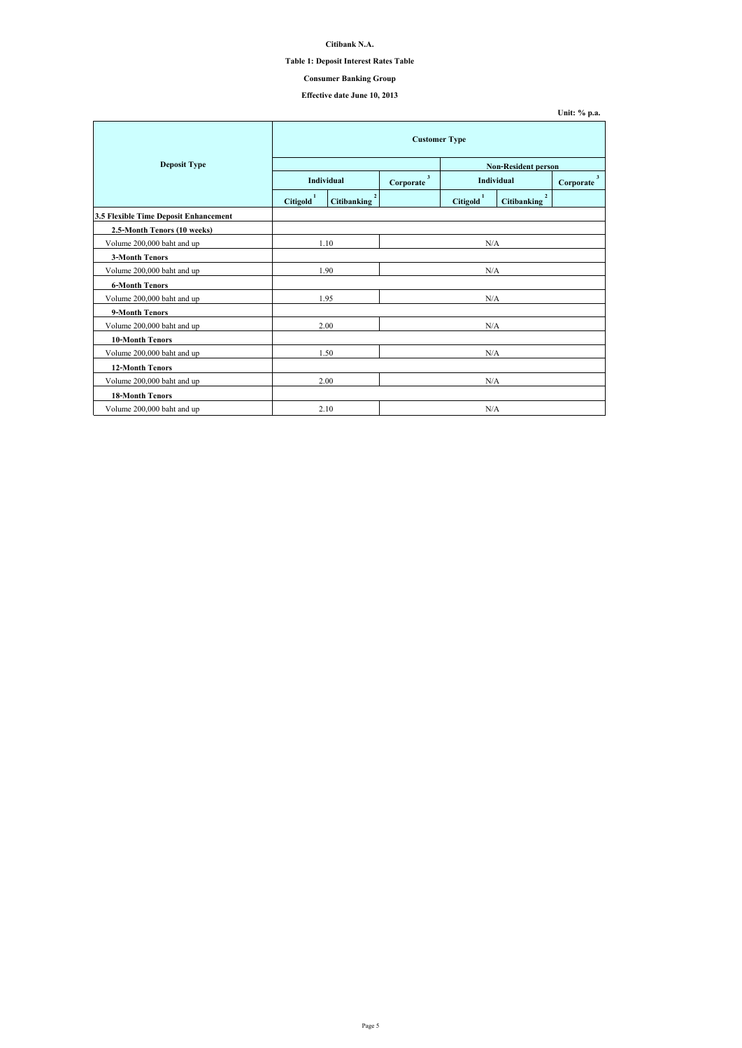## **Citibank N.A.**

## **Table 1: Deposit Interest Rates Table**

# **Effective date June 10, 2013**

|                                              | <b>Customer Type</b>  |                                   |           |                                                |                                      |                             |  |
|----------------------------------------------|-----------------------|-----------------------------------|-----------|------------------------------------------------|--------------------------------------|-----------------------------|--|
| <b>Deposit Type</b>                          |                       |                                   |           |                                                | <b>Non-Resident person</b>           |                             |  |
|                                              |                       | <b>Individual</b>                 |           | $\mathbf{3}$<br><b>Individual</b><br>Corporate |                                      | 3 <sup>7</sup><br>Corporate |  |
|                                              | Citigold <sup>1</sup> | $2^{\circ}$<br><b>Citibanking</b> |           | Citigold <sup>1</sup>                          | $\overline{2}$<br><b>Citibanking</b> |                             |  |
| <b>3.5 Flexible Time Deposit Enhancement</b> |                       |                                   |           |                                                |                                      |                             |  |
| 2.5-Month Tenors (10 weeks)                  |                       |                                   |           |                                                |                                      |                             |  |
| Volume 200,000 baht and up                   | 1.10                  |                                   | N/A       |                                                |                                      |                             |  |
| <b>3-Month Tenors</b>                        |                       |                                   |           |                                                |                                      |                             |  |
| Volume 200,000 baht and up                   | 1.90                  |                                   | $\rm N/A$ |                                                |                                      |                             |  |
| <b>6-Month Tenors</b>                        |                       |                                   |           |                                                |                                      |                             |  |
| Volume 200,000 baht and up                   | 1.95                  |                                   | N/A       |                                                |                                      |                             |  |
| 9-Month Tenors                               |                       |                                   |           |                                                |                                      |                             |  |
| Volume 200,000 baht and up                   |                       | 2.00                              |           | N/A                                            |                                      |                             |  |
| <b>10-Month Tenors</b>                       |                       |                                   |           |                                                |                                      |                             |  |
| Volume 200,000 baht and up                   | 1.50                  |                                   | N/A       |                                                |                                      |                             |  |
| <b>12-Month Tenors</b>                       |                       |                                   |           |                                                |                                      |                             |  |
| Volume 200,000 baht and up                   | 2.00                  |                                   | N/A       |                                                |                                      |                             |  |
| <b>18-Month Tenors</b>                       |                       |                                   |           |                                                |                                      |                             |  |
| Volume 200,000 baht and up                   |                       | 2.10                              |           | N/A                                            |                                      |                             |  |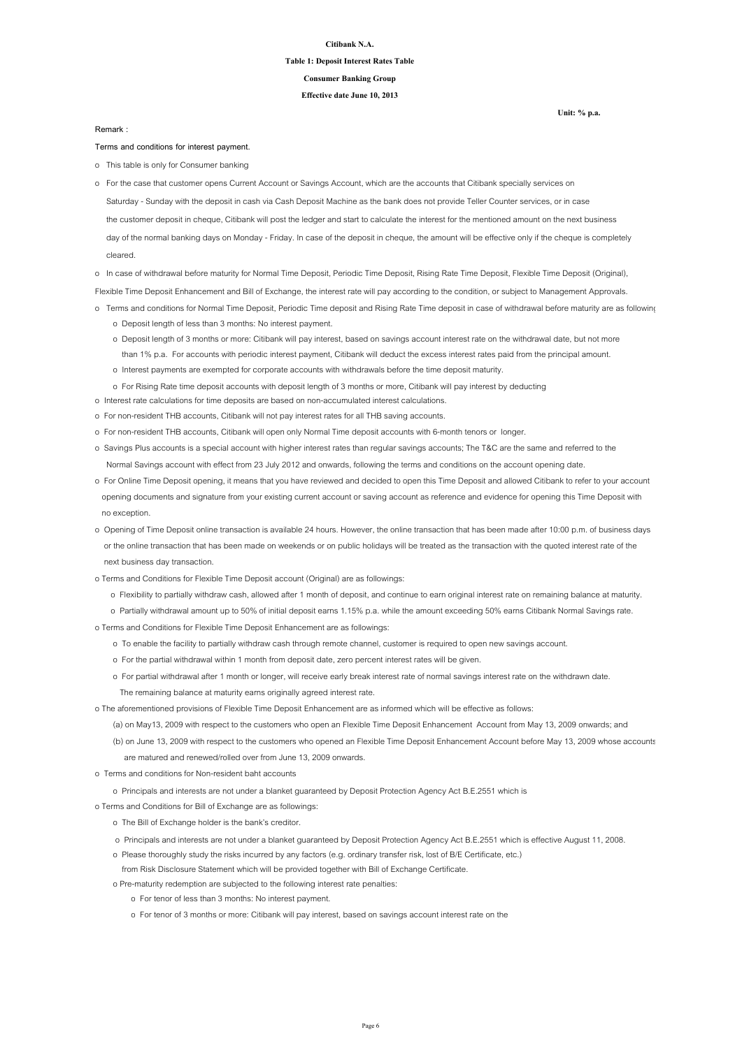#### **Citibank N.A.**

# **Table 1: Deposit Interest Rates Table**

**Effective date June 10, 2013**

**Consumer Banking Group**

**Terms and conditions for interest payment.**

o This table is only for Consumer banking

o In case of withdrawal before maturity for Normal Time Deposit, Periodic Time Deposit, Rising Rate Time Deposit, Flexible Time Deposit (Original),

Flexible Time Deposit Enhancement and Bill of Exchange, the interest rate will pay according to the condition, or subject to Management Approvals.

- o Terms and conditions for Normal Time Deposit, Periodic Time deposit and Rising Rate Time deposit in case of withdrawal before maturity are as following
	- o Deposit length of less than 3 months: No interest payment.
	- o Deposit length of 3 months or more: Citibank will pay interest, based on savings account interest rate on the withdrawal date, but not more than 1% p.a. For accounts with periodic interest payment, Citibank will deduct the excess interest rates paid from the principal amount.
	- o Interest payments are exempted for corporate accounts with withdrawals before the time deposit maturity.
	- o For Rising Rate time deposit accounts with deposit length of 3 months or more, Citibank will pay interest by deducting
- o Interest rate calculations for time deposits are based on non-accumulated interest calculations.
- o For non-resident THB accounts, Citibank will not pay interest rates for all THB saving accounts.
- o For non-resident THB accounts, Citibank will open only Normal Time deposit accounts with 6-month tenors or longer.
- o Savings Plus accounts is a special account with higher interest rates than regular savings accounts; The T&C are the same and referred to the Normal Savings account with effect from 23 July 2012 and onwards, following the terms and conditions on the account opening date.
- o For Online Time Deposit opening, it means that you have reviewed and decided to open this Time Deposit and allowed Citibank to refer to your account opening documents and signature from your existing current account or saving account as reference and evidence for opening this Time Deposit with no exception.
- o Opening of Time Deposit online transaction is available 24 hours. However, the online transaction that has been made after 10:00 p.m. of business days or the online transaction that has been made on weekends or on public holidays will be treated as the transaction with the quoted interest rate of the

 Saturday - Sunday with the deposit in cash via Cash Deposit Machine as the bank does not provide Teller Counter services, or in case the customer deposit in cheque, Citibank will post the ledger and start to calculate the interest for the mentioned amount on the next business day of the normal banking days on Monday - Friday. In case of the deposit in cheque, the amount will be effective only if the cheque is completely cleared. o For the case that customer opens Current Account or Savings Account, which are the accounts that Citibank specially services on

next business day transaction.

- o Terms and Conditions for Flexible Time Deposit account (Original) are as followings:
	- o Flexibility to partially withdraw cash, allowed after 1 month of deposit, and continue to earn original interest rate on remaining balance at maturity.
	- o Partially withdrawal amount up to 50% of initial deposit earns 1.15% p.a. while the amount exceeding 50% earns Citibank Normal Savings rate.
- o Terms and Conditions for Flexible Time Deposit Enhancement are as followings:
	- o To enable the facility to partially withdraw cash through remote channel, customer is required to open new savings account.
	- o For the partial withdrawal within 1 month from deposit date, zero percent interest rates will be given.
	- o For partial withdrawal after 1 month or longer, will receive early break interest rate of normal savings interest rate on the withdrawn date.
		- The remaining balance at maturity earns originally agreed interest rate.
- o The aforementioned provisions of Flexible Time Deposit Enhancement are as informed which will be effective as follows:
	- (a) on May13, 2009 with respect to the customers who open an Flexible Time Deposit Enhancement Account from May 13, 2009 onwards; and
	- (b) on June 13, 2009 with respect to the customers who opened an Flexible Time Deposit Enhancement Account before May 13, 2009 whose accounts are matured and renewed/rolled over from June 13, 2009 onwards.
- o Terms and conditions for Non-resident baht accounts
	- o Principals and interests are not under a blanket guaranteed by Deposit Protection Agency Act B.E.2551 which is
- o Terms and Conditions for Bill of Exchange are as followings:
	- o The Bill of Exchange holder is the bank's creditor.
	- o Principals and interests are not under a blanket guaranteed by Deposit Protection Agency Act B.E.2551 which is effective August 11, 2008.
	- o Please thoroughly study the risks incurred by any factors (e.g. ordinary transfer risk, lost of B/E Certificate, etc.)
	- from Risk Disclosure Statement which will be provided together with Bill of Exchange Certificate.
	- o Pre-maturity redemption are subjected to the following interest rate penalties:
		- o For tenor of less than 3 months: No interest payment.
		- o For tenor of 3 months or more: Citibank will pay interest, based on savings account interest rate on the

**Remark :**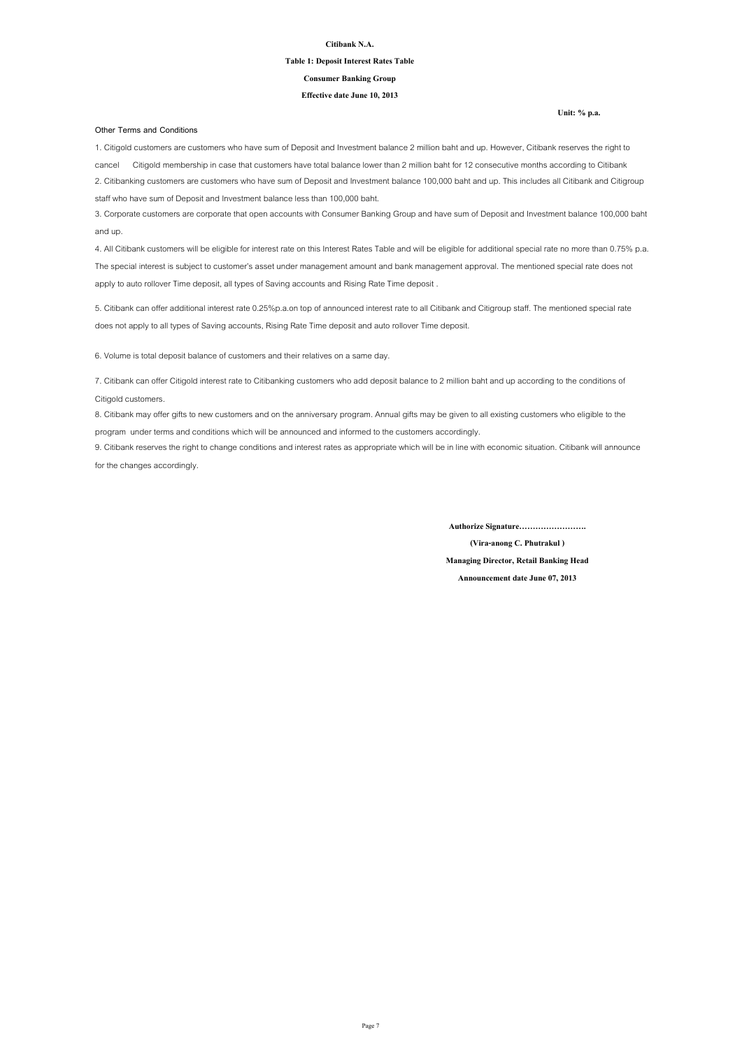#### **Citibank N.A.**

#### **Table 1: Deposit Interest Rates Table**

#### **Effective date June 10, 2013**

#### **Consumer Banking Group**

#### **Other Terms and Conditions**

**(Vira-anong C. Phutrakul )**

**Managing Director, Retail Banking Head**

**Announcement date June 07, 2013**

**Authorize Signature…………………….**

6. Volume is total deposit balance of customers and their relatives on a same day.

8. Citibank may offer gifts to new customers and on the anniversary program. Annual gifts may be given to all existing customers who eligible to the program under terms and conditions which will be announced and informed to the customers accordingly.

9. Citibank reserves the right to change conditions and interest rates as appropriate which will be in line with economic situation. Citibank will announce for the changes accordingly.

1. Citigold customers are customers who have sum of Deposit and Investment balance 2 million baht and up. However, Citibank reserves the right to cancel Citigold membership in case that customers have total balance lower than 2 million baht for 12 consecutive months according to Citibank 2. Citibanking customers are customers who have sum of Deposit and Investment balance 100,000 baht and up. This includes all Citibank and Citigroup staff who have sum of Deposit and Investment balance less than 100,000 baht.

3. Corporate customers are corporate that open accounts with Consumer Banking Group and have sum of Deposit and Investment balance 100,000 baht and up.

4. All Citibank customers will be eligible for interest rate on this Interest Rates Table and will be eligible for additional special rate no more than 0.75% p.a. The special interest is subject to customer's asset under management amount and bank management approval. The mentioned special rate does not apply to auto rollover Time deposit, all types of Saving accounts and Rising Rate Time deposit .

5. Citibank can offer additional interest rate 0.25%p.a.on top of announced interest rate to all Citibank and Citigroup staff. The mentioned special rate does not apply to all types of Saving accounts, Rising Rate Time deposit and auto rollover Time deposit.

7. Citibank can offer Citigold interest rate to Citibanking customers who add deposit balance to 2 million baht and up according to the conditions of Citigold customers.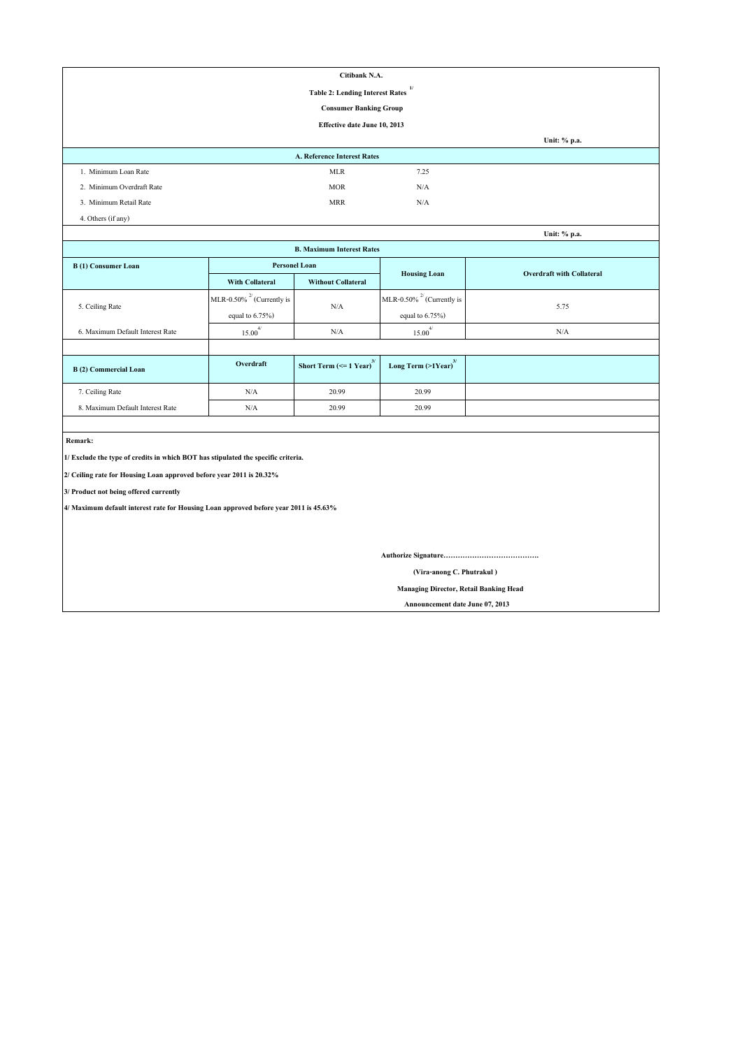| Citibank N.A.                                                                         |                                 |                                           |                                               |                                  |  |  |  |  |
|---------------------------------------------------------------------------------------|---------------------------------|-------------------------------------------|-----------------------------------------------|----------------------------------|--|--|--|--|
| 1/<br><b>Table 2: Lending Interest Rates</b>                                          |                                 |                                           |                                               |                                  |  |  |  |  |
| <b>Consumer Banking Group</b>                                                         |                                 |                                           |                                               |                                  |  |  |  |  |
|                                                                                       |                                 | <b>Effective date June 10, 2013</b>       |                                               |                                  |  |  |  |  |
|                                                                                       |                                 |                                           |                                               | Unit: % p.a.                     |  |  |  |  |
|                                                                                       |                                 | <b>A. Reference Interest Rates</b>        |                                               |                                  |  |  |  |  |
| 1. Minimum Loan Rate                                                                  |                                 | <b>MLR</b>                                | 7.25                                          |                                  |  |  |  |  |
| 2. Minimum Overdraft Rate                                                             |                                 | <b>MOR</b>                                | N/A                                           |                                  |  |  |  |  |
| 3. Minimum Retail Rate                                                                |                                 | <b>MRR</b>                                | N/A                                           |                                  |  |  |  |  |
| 4. Others (if any)                                                                    |                                 |                                           |                                               |                                  |  |  |  |  |
|                                                                                       |                                 |                                           |                                               | Unit: % p.a.                     |  |  |  |  |
|                                                                                       |                                 | <b>B. Maximum Interest Rates</b>          |                                               |                                  |  |  |  |  |
| <b>B</b> (1) Consumer Loan                                                            | <b>Personel Loan</b>            |                                           |                                               | <b>Overdraft with Collateral</b> |  |  |  |  |
|                                                                                       | <b>With Collateral</b>          | <b>Without Collateral</b>                 | <b>Housing Loan</b>                           |                                  |  |  |  |  |
| 5. Ceiling Rate                                                                       | MLR-0.50% $^{27}$ (Currently is |                                           | MLR-0.50% $^{27}$ (Currently is               |                                  |  |  |  |  |
|                                                                                       | equal to $6.75\%$ )             | N/A                                       | equal to $6.75\%$ )                           | 5.75                             |  |  |  |  |
| 6. Maximum Default Interest Rate                                                      | $15.00^{4/}$                    | N/A                                       | $15.00^{4/}$                                  | N/A                              |  |  |  |  |
|                                                                                       |                                 |                                           |                                               |                                  |  |  |  |  |
| <b>B</b> (2) Commercial Loan                                                          | Overdraft                       | Short Term ( $\leq$ 1 Year) <sup>3/</sup> | Long Term (>1Year) <sup>3/</sup>              |                                  |  |  |  |  |
| 7. Ceiling Rate                                                                       | N/A                             | 20.99                                     | 20.99                                         |                                  |  |  |  |  |
| 8. Maximum Default Interest Rate                                                      | N/A                             | 20.99                                     | 20.99                                         |                                  |  |  |  |  |
|                                                                                       |                                 |                                           |                                               |                                  |  |  |  |  |
| Remark:                                                                               |                                 |                                           |                                               |                                  |  |  |  |  |
| 1/ Exclude the type of credits in which BOT has stipulated the specific criteria.     |                                 |                                           |                                               |                                  |  |  |  |  |
| 2/ Ceiling rate for Housing Loan approved before year 2011 is 20.32%                  |                                 |                                           |                                               |                                  |  |  |  |  |
| 3/ Product not being offered currently                                                |                                 |                                           |                                               |                                  |  |  |  |  |
| 4/ Maximum default interest rate for Housing Loan approved before year 2011 is 45.63% |                                 |                                           |                                               |                                  |  |  |  |  |
|                                                                                       |                                 |                                           |                                               |                                  |  |  |  |  |
|                                                                                       |                                 |                                           |                                               |                                  |  |  |  |  |
|                                                                                       |                                 |                                           |                                               |                                  |  |  |  |  |
|                                                                                       | (Vira-anong C. Phutrakul)       |                                           |                                               |                                  |  |  |  |  |
|                                                                                       |                                 |                                           | <b>Managing Director, Retail Banking Head</b> |                                  |  |  |  |  |

 **Announcement date June 07, 2013**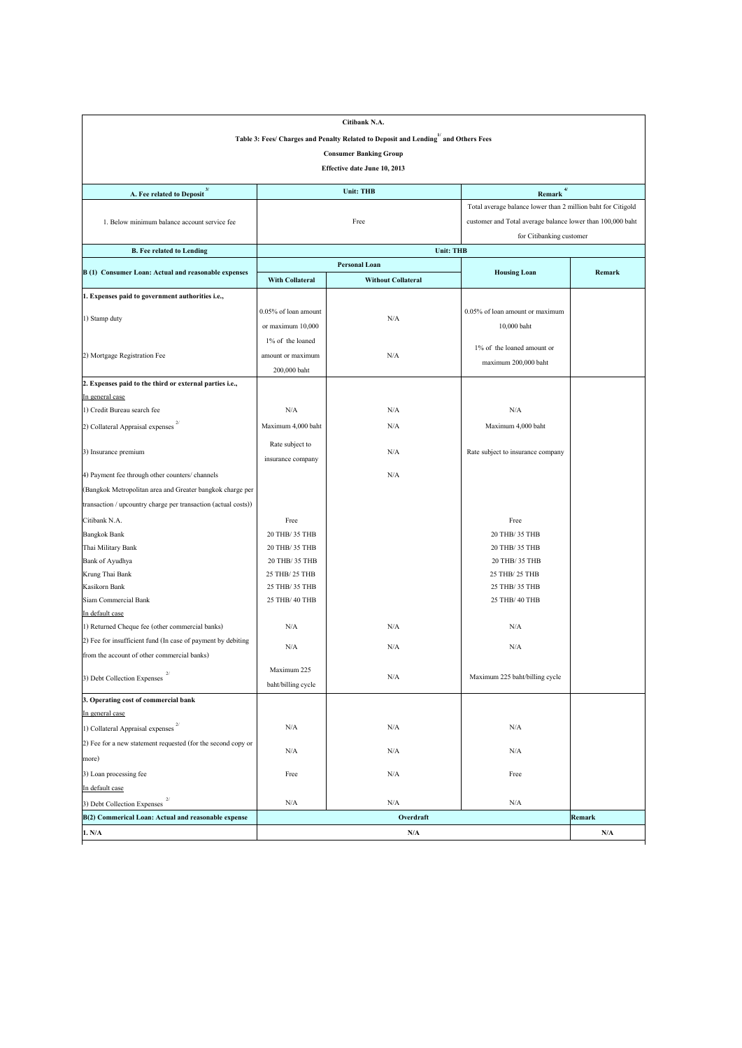|                                                                |                                  | Citibank N.A.                                                                      |                                                              |        |  |  |  |  |
|----------------------------------------------------------------|----------------------------------|------------------------------------------------------------------------------------|--------------------------------------------------------------|--------|--|--|--|--|
|                                                                |                                  | Table 3: Fees/ Charges and Penalty Related to Deposit and Lending" and Others Fees |                                                              |        |  |  |  |  |
|                                                                |                                  | <b>Consumer Banking Group</b>                                                      |                                                              |        |  |  |  |  |
| Effective date June 10, 2013                                   |                                  |                                                                                    |                                                              |        |  |  |  |  |
|                                                                |                                  |                                                                                    |                                                              |        |  |  |  |  |
| A. Fee related to Deposit <sup>3/</sup>                        |                                  | <b>Unit: THB</b>                                                                   | $Remark$ <sup>4/</sup>                                       |        |  |  |  |  |
|                                                                |                                  |                                                                                    | Total average balance lower than 2 million baht for Citigold |        |  |  |  |  |
| 1. Below minimum balance account service fee                   |                                  | Free                                                                               | customer and Total average balance lower than 100,000 baht   |        |  |  |  |  |
|                                                                |                                  |                                                                                    | for Citibanking customer                                     |        |  |  |  |  |
| <b>B. Fee related to Lending</b>                               |                                  | <b>Unit: THB</b>                                                                   |                                                              |        |  |  |  |  |
| B (1) Consumer Loan: Actual and reasonable expenses            |                                  | <b>Personal Loan</b>                                                               | <b>Housing Loan</b>                                          | Remark |  |  |  |  |
|                                                                | <b>With Collateral</b>           | <b>Without Collateral</b>                                                          |                                                              |        |  |  |  |  |
| 1. Expenses paid to government authorities i.e.,               |                                  |                                                                                    |                                                              |        |  |  |  |  |
|                                                                | $0.05\%$ of loan amount          |                                                                                    | 0.05% of loan amount or maximum                              |        |  |  |  |  |
| 1) Stamp duty                                                  | or maximum 10,000                | N/A                                                                                | 10,000 baht                                                  |        |  |  |  |  |
|                                                                | 1% of the loaned                 |                                                                                    |                                                              |        |  |  |  |  |
| 2) Mortgage Registration Fee                                   | amount or maximum                | N/A                                                                                | $1\%$ of the loaned amount or                                |        |  |  |  |  |
|                                                                | 200,000 baht                     |                                                                                    | maximum 200,000 baht                                         |        |  |  |  |  |
| 2. Expenses paid to the third or external parties i.e.,        |                                  |                                                                                    |                                                              |        |  |  |  |  |
| In general case                                                |                                  |                                                                                    |                                                              |        |  |  |  |  |
| 1) Credit Bureau search fee                                    | N/A                              | N/A                                                                                | N/A                                                          |        |  |  |  |  |
| 2/<br>2) Collateral Appraisal expenses                         | Maximum 4,000 baht               | N/A                                                                                | Maximum 4,000 baht                                           |        |  |  |  |  |
|                                                                | Rate subject to                  |                                                                                    |                                                              |        |  |  |  |  |
| 3) Insurance premium                                           | insurance company                | N/A                                                                                | Rate subject to insurance company                            |        |  |  |  |  |
| 4) Payment fee through other counters/ channels                |                                  | N/A                                                                                |                                                              |        |  |  |  |  |
| (Bangkok Metropolitan area and Greater bangkok charge per      |                                  |                                                                                    |                                                              |        |  |  |  |  |
| transaction / upcountry charge per transaction (actual costs)) |                                  |                                                                                    |                                                              |        |  |  |  |  |
|                                                                |                                  |                                                                                    |                                                              |        |  |  |  |  |
| Citibank N.A.                                                  | Free                             |                                                                                    | Free                                                         |        |  |  |  |  |
| <b>Bangkok Bank</b>                                            | 20 THB/ 35 THB                   |                                                                                    | 20 THB/ 35 THB                                               |        |  |  |  |  |
| Thai Military Bank                                             | 20 THB/ 35 THB<br>20 THB/ 35 THB |                                                                                    | 20 THB/ 35 THB<br>20 THB/ 35 THB                             |        |  |  |  |  |
| Bank of Ayudhya<br>Krung Thai Bank                             | 25 THB/ 25 THB                   |                                                                                    | 25 THB/ 25 THB                                               |        |  |  |  |  |
| Kasikorn Bank                                                  | 25 THB/ 35 THB                   |                                                                                    | 25 THB/ 35 THB                                               |        |  |  |  |  |
| Siam Commercial Bank                                           | 25 THB/ 40 THB                   |                                                                                    | 25 THB/ 40 THB                                               |        |  |  |  |  |
| In default case                                                |                                  |                                                                                    |                                                              |        |  |  |  |  |
| 1) Returned Cheque fee (other commercial banks)                | N/A                              | N/A                                                                                | N/A                                                          |        |  |  |  |  |
| 2) Fee for insufficient fund (In case of payment by debiting   |                                  |                                                                                    |                                                              |        |  |  |  |  |
| from the account of other commercial banks)                    | N/A                              | N/A                                                                                | N/A                                                          |        |  |  |  |  |
|                                                                | Maximum 225                      |                                                                                    |                                                              |        |  |  |  |  |
| 3) Debt Collection Expenses                                    | baht/billing cycle               | N/A                                                                                | Maximum 225 baht/billing cycle                               |        |  |  |  |  |
| 3. Operating cost of commercial bank                           |                                  |                                                                                    |                                                              |        |  |  |  |  |
| In general case                                                |                                  |                                                                                    |                                                              |        |  |  |  |  |
| 1) Collateral Appraisal expenses                               | N/A                              | N/A                                                                                | N/A                                                          |        |  |  |  |  |
| (2) Fee for a new statement requested (for the second copy or  |                                  |                                                                                    |                                                              |        |  |  |  |  |
| more)                                                          | N/A                              | N/A                                                                                | N/A                                                          |        |  |  |  |  |
| 3) Loan processing fee                                         | Free                             | N/A                                                                                | Free                                                         |        |  |  |  |  |
| In default case                                                |                                  |                                                                                    |                                                              |        |  |  |  |  |
| 3) Debt Collection Expenses                                    | N/A                              | N/A                                                                                | N/A                                                          |        |  |  |  |  |
| B(2) Commerical Loan: Actual and reasonable expense            |                                  | Overdraft                                                                          |                                                              | Remark |  |  |  |  |
| 1. N/A                                                         |                                  | N/A                                                                                |                                                              | N/A    |  |  |  |  |
|                                                                |                                  |                                                                                    |                                                              |        |  |  |  |  |